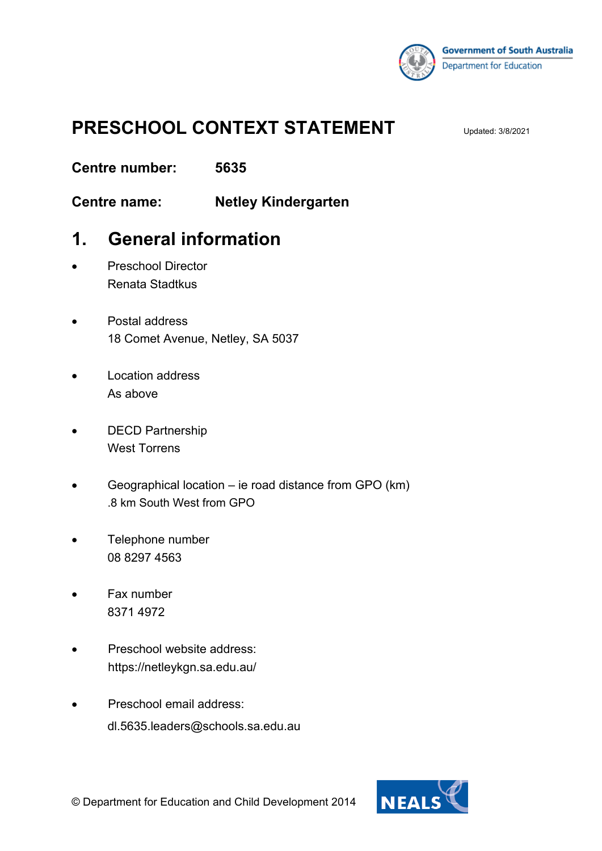

# **PRESCHOOL CONTEXT STATEMENT**

**Centre number: 5635**

**Centre name: Netley Kindergarten**

### **1. General information**

- Preschool Director Renata Stadtkus
- Postal address 18 Comet Avenue, Netley, SA 5037
- Location address As above
- DECD Partnership West Torrens
- Geographical location ie road distance from GPO (km) .8 km South West from GPO
- Telephone number 08 8297 4563
- Fax number 8371 4972
- Preschool website address: https://netleykgn.sa.edu.au/
- Preschool email address: dl.5635.leaders@schools.sa.edu.au

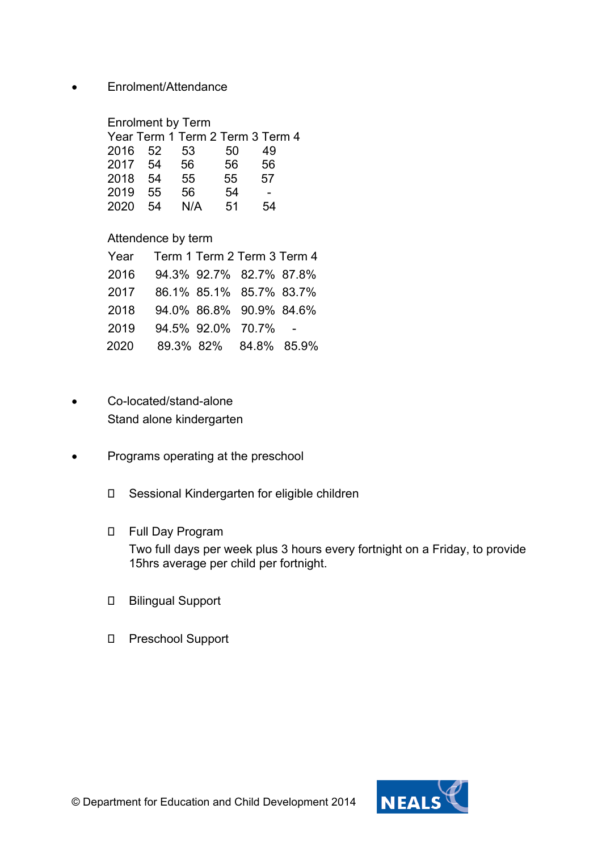• Enrolment/Attendance

Enrolment by Term

|      |     | Year Term 1 Term 2 Term 3 Term 4 |    |    |  |
|------|-----|----------------------------------|----|----|--|
| 2016 | -52 | 53                               | 50 | 49 |  |
| 2017 | .54 | 56                               | 56 | 56 |  |
| 2018 | 54  | 55                               | 55 | 57 |  |
| 2019 | 55  | 56                               | 54 |    |  |
| 2020 | 54  | N/A                              | 51 | 54 |  |

### Attendence by term

| Year | Term 1 Term 2 Term 3 Term 4 |  |
|------|-----------------------------|--|
| 2016 | 94.3% 92.7% 82.7% 87.8%     |  |
| 2017 | 86.1% 85.1% 85.7% 83.7%     |  |
| 2018 | 94.0% 86.8% 90.9% 84.6%     |  |
| 2019 | 94.5% 92.0% 70.7%           |  |
| 2020 | 89.3% 82% 84.8% 85.9%       |  |

- Co-located/stand-alone Stand alone kindergarten
- Programs operating at the preschool
	- Sessional Kindergarten for eligible children
	- Full Day Program

Two full days per week plus 3 hours every fortnight on a Friday, to provide 15hrs average per child per fortnight.

- Bilingual Support
- Preschool Support

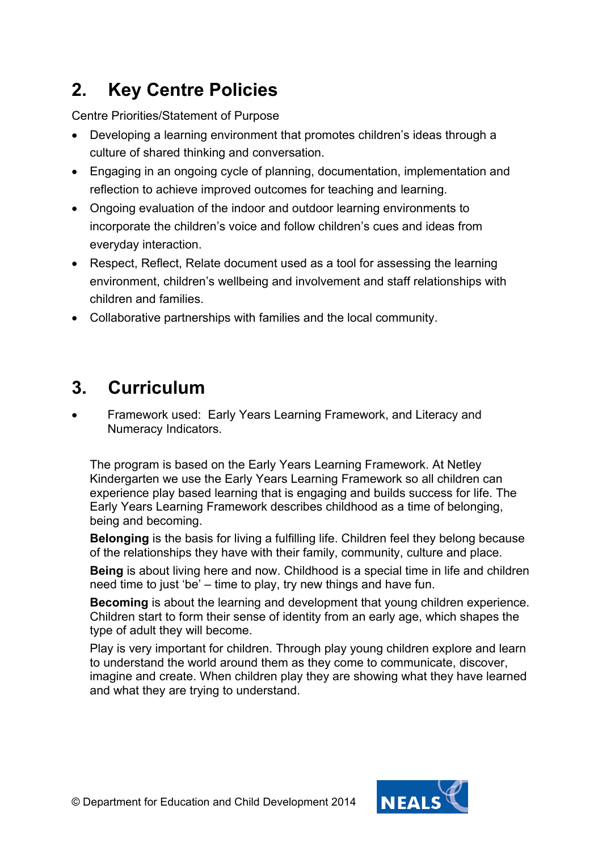# **2. Key Centre Policies**

Centre Priorities/Statement of Purpose

- Developing a learning environment that promotes children's ideas through a culture of shared thinking and conversation.
- Engaging in an ongoing cycle of planning, documentation, implementation and reflection to achieve improved outcomes for teaching and learning.
- Ongoing evaluation of the indoor and outdoor learning environments to incorporate the children's voice and follow children's cues and ideas from everyday interaction.
- Respect, Reflect, Relate document used as a tool for assessing the learning environment, children's wellbeing and involvement and staff relationships with children and families.
- Collaborative partnerships with families and the local community.

### **3. Curriculum**

• Framework used: Early Years Learning Framework, and Literacy and Numeracy Indicators.

The program is based on the Early Years Learning Framework. At Netley Kindergarten we use the Early Years Learning Framework so all children can experience play based learning that is engaging and builds success for life. The Early Years Learning Framework describes childhood as a time of belonging, being and becoming.

**Belonging** is the basis for living a fulfilling life. Children feel they belong because of the relationships they have with their family, community, culture and place.

**Being** is about living here and now. Childhood is a special time in life and children need time to just 'be' – time to play, try new things and have fun.

**Becoming** is about the learning and development that young children experience. Children start to form their sense of identity from an early age, which shapes the type of adult they will become.

Play is very important for children. Through play young children explore and learn to understand the world around them as they come to communicate, discover, imagine and create. When children play they are showing what they have learned and what they are trying to understand.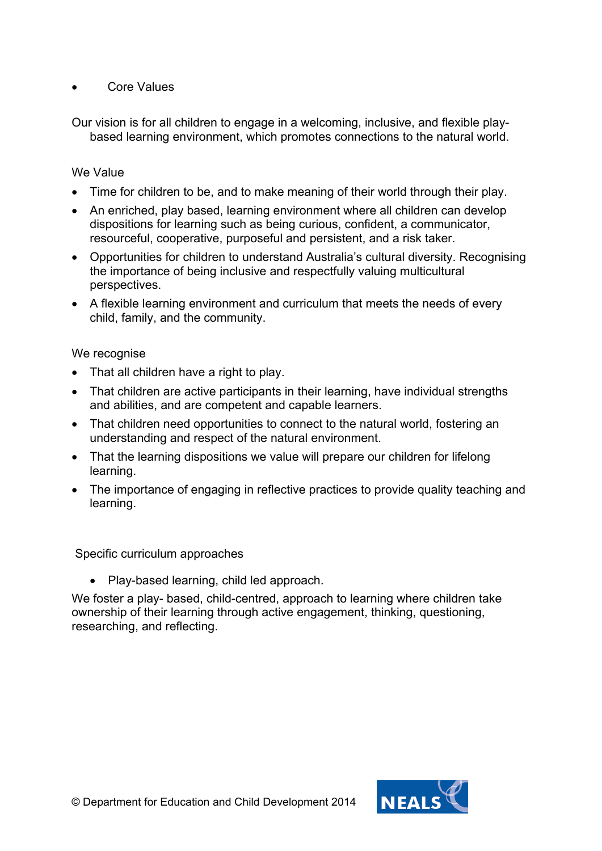Core Values

Our vision is for all children to engage in a welcoming, inclusive, and flexible playbased learning environment, which promotes connections to the natural world.

#### We Value

- Time for children to be, and to make meaning of their world through their play.
- An enriched, play based, learning environment where all children can develop dispositions for learning such as being curious, confident, a communicator, resourceful, cooperative, purposeful and persistent, and a risk taker.
- Opportunities for children to understand Australia's cultural diversity. Recognising the importance of being inclusive and respectfully valuing multicultural perspectives.
- A flexible learning environment and curriculum that meets the needs of every child, family, and the community.

#### We recognise

- That all children have a right to play.
- That children are active participants in their learning, have individual strengths and abilities, and are competent and capable learners.
- That children need opportunities to connect to the natural world, fostering an understanding and respect of the natural environment.
- That the learning dispositions we value will prepare our children for lifelong learning.
- The importance of engaging in reflective practices to provide quality teaching and learning.

Specific curriculum approaches

• Play-based learning, child led approach.

We foster a play- based, child-centred, approach to learning where children take ownership of their learning through active engagement, thinking, questioning, researching, and reflecting.

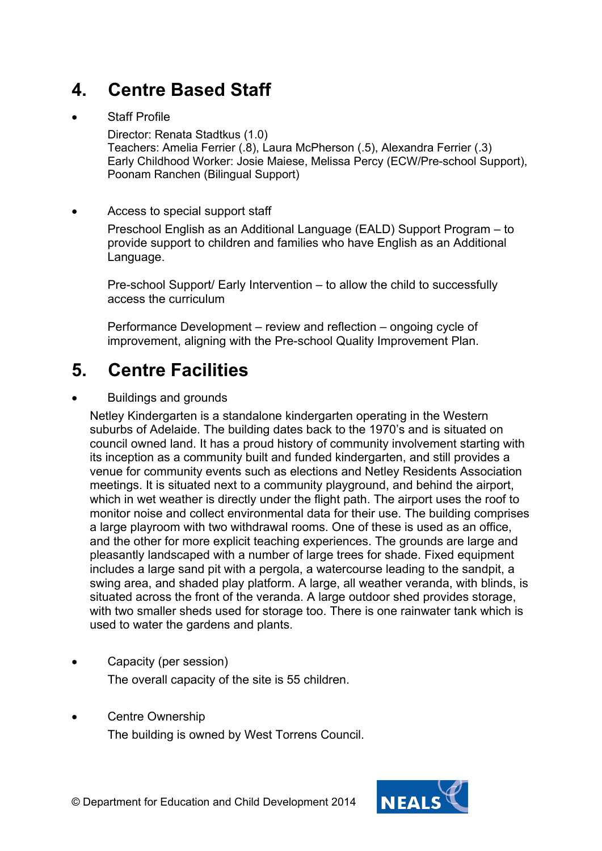# **4. Centre Based Staff**

### **Staff Profile**

Director: Renata Stadtkus (1.0) Teachers: Amelia Ferrier (.8), Laura McPherson (.5), Alexandra Ferrier (.3) Early Childhood Worker: Josie Maiese, Melissa Percy (ECW/Pre-school Support), Poonam Ranchen (Bilingual Support)

### Access to special support staff

Preschool English as an Additional Language (EALD) Support Program – to provide support to children and families who have English as an Additional Language.

Pre-school Support/ Early Intervention – to allow the child to successfully access the curriculum

Performance Development – review and reflection – ongoing cycle of improvement, aligning with the Pre-school Quality Improvement Plan.

### **5. Centre Facilities**

#### • Buildings and grounds

Netley Kindergarten is a standalone kindergarten operating in the Western suburbs of Adelaide. The building dates back to the 1970's and is situated on council owned land. It has a proud history of community involvement starting with its inception as a community built and funded kindergarten, and still provides a venue for community events such as elections and Netley Residents Association meetings. It is situated next to a community playground, and behind the airport, which in wet weather is directly under the flight path. The airport uses the roof to monitor noise and collect environmental data for their use. The building comprises a large playroom with two withdrawal rooms. One of these is used as an office, and the other for more explicit teaching experiences. The grounds are large and pleasantly landscaped with a number of large trees for shade. Fixed equipment includes a large sand pit with a pergola, a watercourse leading to the sandpit, a swing area, and shaded play platform. A large, all weather veranda, with blinds, is situated across the front of the veranda. A large outdoor shed provides storage, with two smaller sheds used for storage too. There is one rainwater tank which is used to water the gardens and plants.

- Capacity (per session) The overall capacity of the site is 55 children.
- **Centre Ownership** The building is owned by West Torrens Council.